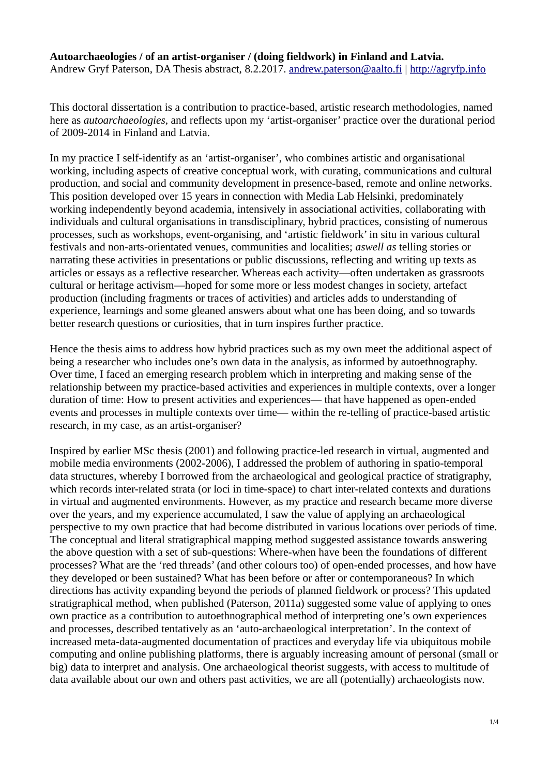#### **Autoarchaeologies / of an artist-organiser / (doing fieldwork) in Finland and Latvia.** Andrew Gryf Paterson, DA Thesis abstract, 8.2.2017. [andrew.paterson@aalto.fi](mailto:andrew.paterson@aalto.fi) | [http://agryfp.info](http://agryfp.info/)

This doctoral dissertation is a contribution to practice-based, artistic research methodologies, named here as *autoarchaeologies*, and reflects upon my 'artist-organiser' practice over the durational period of 2009-2014 in Finland and Latvia.

In my practice I self-identify as an 'artist-organiser', who combines artistic and organisational working, including aspects of creative conceptual work, with curating, communications and cultural production, and social and community development in presence-based, remote and online networks. This position developed over 15 years in connection with Media Lab Helsinki, predominately working independently beyond academia, intensively in associational activities, collaborating with individuals and cultural organisations in transdisciplinary, hybrid practices, consisting of numerous processes, such as workshops, event-organising, and 'artistic fieldwork' in situ in various cultural festivals and non-arts-orientated venues, communities and localities; *aswell as* telling stories or narrating these activities in presentations or public discussions, reflecting and writing up texts as articles or essays as a reflective researcher. Whereas each activity—often undertaken as grassroots cultural or heritage activism—hoped for some more or less modest changes in society, artefact production (including fragments or traces of activities) and articles adds to understanding of experience, learnings and some gleaned answers about what one has been doing, and so towards better research questions or curiosities, that in turn inspires further practice.

Hence the thesis aims to address how hybrid practices such as my own meet the additional aspect of being a researcher who includes one's own data in the analysis, as informed by autoethnography. Over time, I faced an emerging research problem which in interpreting and making sense of the relationship between my practice-based activities and experiences in multiple contexts, over a longer duration of time: How to present activities and experiences— that have happened as open-ended events and processes in multiple contexts over time— within the re-telling of practice-based artistic research, in my case, as an artist-organiser?

Inspired by earlier MSc thesis (2001) and following practice-led research in virtual, augmented and mobile media environments (2002-2006), I addressed the problem of authoring in spatio-temporal data structures, whereby I borrowed from the archaeological and geological practice of stratigraphy, which records inter-related strata (or loci in time-space) to chart inter-related contexts and durations in virtual and augmented environments. However, as my practice and research became more diverse over the years, and my experience accumulated, I saw the value of applying an archaeological perspective to my own practice that had become distributed in various locations over periods of time. The conceptual and literal stratigraphical mapping method suggested assistance towards answering the above question with a set of sub-questions: Where-when have been the foundations of different processes? What are the 'red threads' (and other colours too) of open-ended processes, and how have they developed or been sustained? What has been before or after or contemporaneous? In which directions has activity expanding beyond the periods of planned fieldwork or process? This updated stratigraphical method, when published (Paterson, 2011a) suggested some value of applying to ones own practice as a contribution to autoethnographical method of interpreting one's own experiences and processes, described tentatively as an 'auto-archaeological interpretation'. In the context of increased meta-data-augmented documentation of practices and everyday life via ubiquitous mobile computing and online publishing platforms, there is arguably increasing amount of personal (small or big) data to interpret and analysis. One archaeological theorist suggests, with access to multitude of data available about our own and others past activities, we are all (potentially) archaeologists now.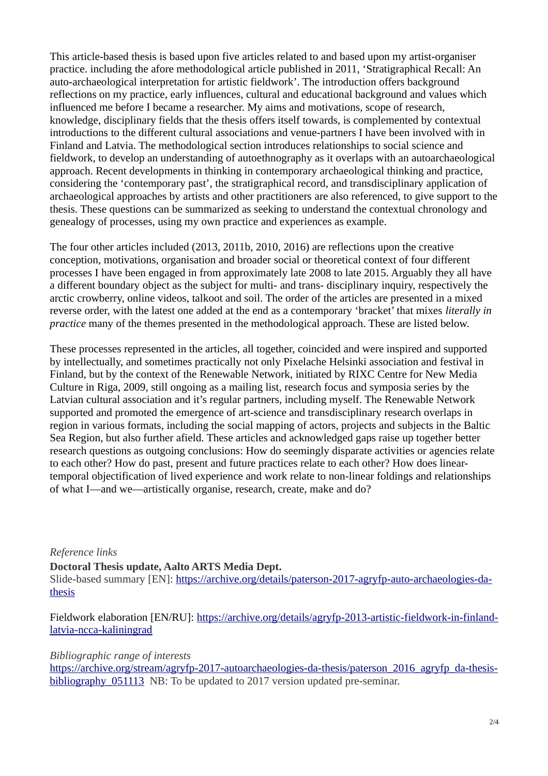This article-based thesis is based upon five articles related to and based upon my artist-organiser practice. including the afore methodological article published in 2011, 'Stratigraphical Recall: An auto-archaeological interpretation for artistic fieldwork'. The introduction offers background reflections on my practice, early influences, cultural and educational background and values which influenced me before I became a researcher. My aims and motivations, scope of research, knowledge, disciplinary fields that the thesis offers itself towards, is complemented by contextual introductions to the different cultural associations and venue-partners I have been involved with in Finland and Latvia. The methodological section introduces relationships to social science and fieldwork, to develop an understanding of autoethnography as it overlaps with an autoarchaeological approach. Recent developments in thinking in contemporary archaeological thinking and practice, considering the 'contemporary past', the stratigraphical record, and transdisciplinary application of archaeological approaches by artists and other practitioners are also referenced, to give support to the thesis. These questions can be summarized as seeking to understand the contextual chronology and genealogy of processes, using my own practice and experiences as example.

The four other articles included (2013, 2011b, 2010, 2016) are reflections upon the creative conception, motivations, organisation and broader social or theoretical context of four different processes I have been engaged in from approximately late 2008 to late 2015. Arguably they all have a different boundary object as the subject for multi- and trans- disciplinary inquiry, respectively the arctic crowberry, online videos, talkoot and soil. The order of the articles are presented in a mixed reverse order, with the latest one added at the end as a contemporary 'bracket' that mixes *literally in practice* many of the themes presented in the methodological approach. These are listed below.

These processes represented in the articles, all together, coincided and were inspired and supported by intellectually, and sometimes practically not only Pixelache Helsinki association and festival in Finland, but by the context of the Renewable Network, initiated by RIXC Centre for New Media Culture in Riga, 2009, still ongoing as a mailing list, research focus and symposia series by the Latvian cultural association and it's regular partners, including myself. The Renewable Network supported and promoted the emergence of art-science and transdisciplinary research overlaps in region in various formats, including the social mapping of actors, projects and subjects in the Baltic Sea Region, but also further afield. These articles and acknowledged gaps raise up together better research questions as outgoing conclusions: How do seemingly disparate activities or agencies relate to each other? How do past, present and future practices relate to each other? How does lineartemporal objectification of lived experience and work relate to non-linear foldings and relationships of what I—and we—artistically organise, research, create, make and do?

#### *Reference links*

**Doctoral Thesis update, Aalto ARTS Media Dept.**  Slide-based summary [EN]: [https://archive.org/details/paterson-2017-agryfp-auto-archaeologies-da](https://archive.org/details/paterson-2017-agryfp-auto-archaeologies-da-thesis)[thesis](https://archive.org/details/paterson-2017-agryfp-auto-archaeologies-da-thesis) 

Fieldwork elaboration [EN/RU]: [https://archive.org/details/agryfp-2013-artistic-fieldwork-in-finland](https://archive.org/details/agryfp-2013-artistic-fieldwork-in-finland-latvia-ncca-kaliningrad)[latvia-ncca-kaliningrad](https://archive.org/details/agryfp-2013-artistic-fieldwork-in-finland-latvia-ncca-kaliningrad)

#### *Bibliographic range of interests*

[https://archive.org/stream/agryfp-2017-autoarchaeologies-da-thesis/paterson\\_2016\\_agryfp\\_da-thesis](https://archive.org/stream/agryfp-2017-autoarchaeologies-da-thesis/paterson_2016_agryfp_da-thesis-bibliography_051113)bibliography 051113 NB: To be updated to 2017 version updated pre-seminar.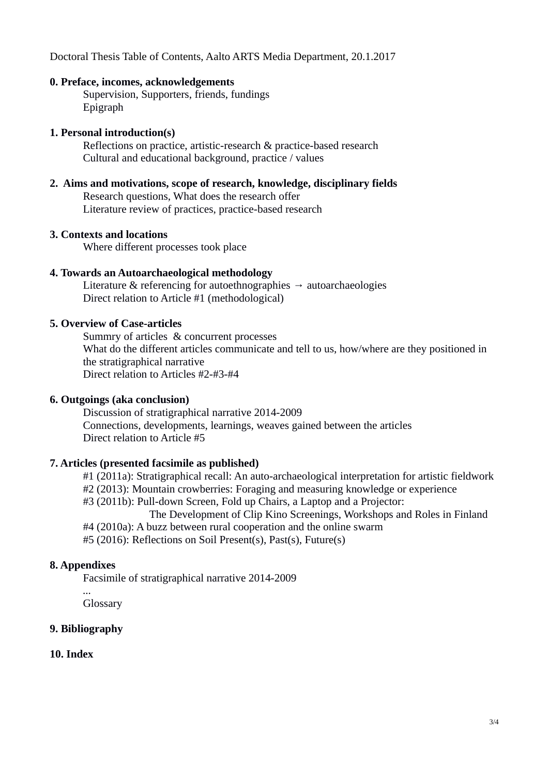Doctoral Thesis Table of Contents, Aalto ARTS Media Department, 20.1.2017

#### **0. Preface, incomes, acknowledgements**

Supervision, Supporters, friends, fundings Epigraph

### **1. Personal introduction(s)**

Reflections on practice, artistic-research & practice-based research Cultural and educational background, practice / values

### **2. Aims and motivations, scope of research, knowledge, disciplinary fields** Research questions, What does the research offer Literature review of practices, practice-based research

#### **3. Contexts and locations**

Where different processes took place

### **4. Towards an Autoarchaeological methodology**

Literature & referencing for autoethnographies  $\rightarrow$  autoarchaeologies Direct relation to Article #1 (methodological)

#### **5. Overview of Case-articles**

Summry of articles & concurrent processes What do the different articles communicate and tell to us, how/where are they positioned in the stratigraphical narrative Direct relation to Articles #2-#3-#4

### **6. Outgoings (aka conclusion)**

Discussion of stratigraphical narrative 2014-2009 Connections, developments, learnings, weaves gained between the articles Direct relation to Article #5

## **7. Articles (presented facsimile as published)**

#1 (2011a): Stratigraphical recall: An auto-archaeological interpretation for artistic fieldwork

#2 (2013): Mountain crowberries: Foraging and measuring knowledge or experience

#3 (2011b): Pull-down Screen, Fold up Chairs, a Laptop and a Projector:

The Development of Clip Kino Screenings, Workshops and Roles in Finland #4 (2010a): A buzz between rural cooperation and the online swarm

#5 (2016): Reflections on Soil Present(s), Past(s), Future(s)

## **8. Appendixes**

Facsimile of stratigraphical narrative 2014-2009

*...* Glossary

## **9. Bibliography**

## **10. Index**